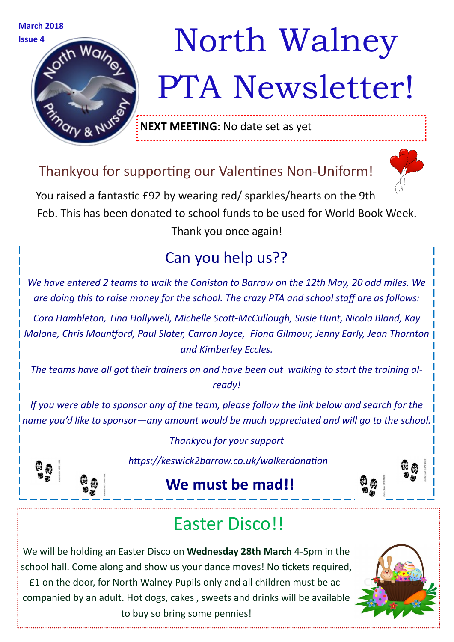

# **Issue 4**  $\frac{M}{2}$  **Issue 4**  $\frac{M}{2}$ PTA Newsletter!

**NEXT MEETING**: No date set as yet

### Thankyou for supporting our Valentines Non-Uniform!



You raised a fantastic £92 by wearing red/ sparkles/hearts on the 9th Feb. This has been donated to school funds to be used for World Book Week.

Thank you once again!

## Can you help us??

*We have entered 2 teams to walk the Coniston to Barrow on the 12th May, 20 odd miles. We are doing this to raise money for the school. The crazy PTA and school staff are as follows:*

*Cora Hambleton, Tina Hollywell, Michelle Scott-McCullough, Susie Hunt, Nicola Bland, Kay Malone, Chris Mountford, Paul Slater, Carron Joyce, Fiona Gilmour, Jenny Early, Jean Thornton and Kimberley Eccles.*

*The teams have all got their trainers on and have been out walking to start the training already!*

*If you were able to sponsor any of the team, please follow the link below and search for the name you'd like to sponsor—any amount would be much appreciated and will go to the school.*

*Thankyou for your support*



*https://keswick2barrow.co.uk/walkerdonation*

## **We must be mad!!**



We will be holding an Easter Disco on **Wednesday 28th March** 4-5pm in the school hall. Come along and show us your dance moves! No tickets required,

£1 on the door, for North Walney Pupils only and all children must be accompanied by an adult. Hot dogs, cakes , sweets and drinks will be available to buy so bring some pennies!



 $\frac{\omega}{2}$